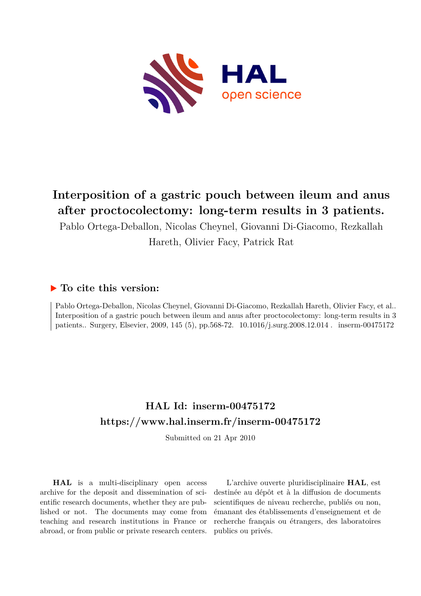

# **Interposition of a gastric pouch between ileum and anus after proctocolectomy: long-term results in 3 patients.**

Pablo Ortega-Deballon, Nicolas Cheynel, Giovanni Di-Giacomo, Rezkallah

Hareth, Olivier Facy, Patrick Rat

## **To cite this version:**

Pablo Ortega-Deballon, Nicolas Cheynel, Giovanni Di-Giacomo, Rezkallah Hareth, Olivier Facy, et al.. Interposition of a gastric pouch between ileum and anus after proctocolectomy: long-term results in 3 patients.. Surgery, Elsevier, 2009, 145 (5), pp.568-72. 10.1016/j.surg.2008.12.014. inserm-00475172

# **HAL Id: inserm-00475172 <https://www.hal.inserm.fr/inserm-00475172>**

Submitted on 21 Apr 2010

**HAL** is a multi-disciplinary open access archive for the deposit and dissemination of scientific research documents, whether they are published or not. The documents may come from teaching and research institutions in France or abroad, or from public or private research centers.

L'archive ouverte pluridisciplinaire **HAL**, est destinée au dépôt et à la diffusion de documents scientifiques de niveau recherche, publiés ou non, émanant des établissements d'enseignement et de recherche français ou étrangers, des laboratoires publics ou privés.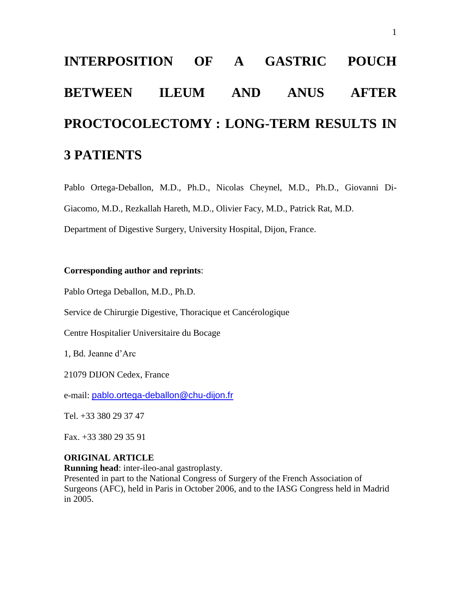# **INTERPOSITION OF A GASTRIC POUCH BETWEEN ILEUM AND ANUS AFTER PROCTOCOLECTOMY : LONG-TERM RESULTS IN 3 PATIENTS**

Pablo Ortega-Deballon, M.D., Ph.D., Nicolas Cheynel, M.D., Ph.D., Giovanni Di-Giacomo, M.D., Rezkallah Hareth, M.D., Olivier Facy, M.D., Patrick Rat, M.D.

Department of Digestive Surgery, University Hospital, Dijon, France.

#### **Corresponding author and reprints**:

Pablo Ortega Deballon, M.D., Ph.D.

Service de Chirurgie Digestive, Thoracique et Cancérologique

Centre Hospitalier Universitaire du Bocage

1, Bd. Jeanne d'Arc

21079 DIJON Cedex, France

e-mail: [pablo.ortega-deballon@chu-dijon.fr](mailto:pablo.ortega-deballon@chu-dijon.fr)

Tel. +33 380 29 37 47

Fax. +33 380 29 35 91

#### **ORIGINAL ARTICLE**

**Running head**: inter-ileo-anal gastroplasty.

Presented in part to the National Congress of Surgery of the French Association of Surgeons (AFC), held in Paris in October 2006, and to the IASG Congress held in Madrid in 2005.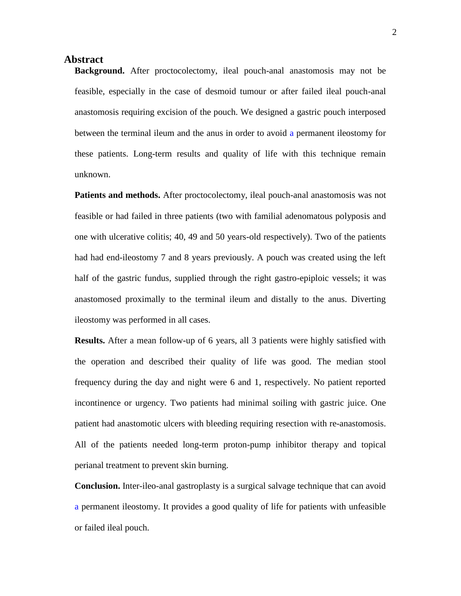#### **Abstract**

**Background.** After proctocolectomy, ileal pouch-anal anastomosis may not be feasible, especially in the case of desmoid tumour or after failed ileal pouch-anal anastomosis requiring excision of the pouch. We designed a gastric pouch interposed between the terminal ileum and the anus in order to avoid a permanent ileostomy for these patients. Long-term results and quality of life with this technique remain unknown.

**Patients and methods.** After proctocolectomy, ileal pouch-anal anastomosis was not feasible or had failed in three patients (two with familial adenomatous polyposis and one with ulcerative colitis; 40, 49 and 50 years-old respectively). Two of the patients had had end-ileostomy 7 and 8 years previously. A pouch was created using the left half of the gastric fundus, supplied through the right gastro-epiploic vessels; it was anastomosed proximally to the terminal ileum and distally to the anus. Diverting ileostomy was performed in all cases.

<span id="page-2-0"></span>**Results.** After a mean follow-up of 6 years, all 3 patients were highly satisfied with the operation and described their quality of life was good. The median stool frequency during the day and night were 6 and 1, respectively. No patient reported incontinence or urgency. Two patients had minimal soiling with gastric juice. One patient had anastomotic ulcers with bleeding requiring resection with re-anastomosis. All of the patients needed long-term proton-pump inhibitor therapy and topical perianal treatment to prevent skin burning.

**Conclusion.** Inter-ileo-anal gastroplasty is a surgical salvage technique that can avoid a permanent ileostomy. It provides a good quality of life for patients with unfeasible or failed ileal pouch.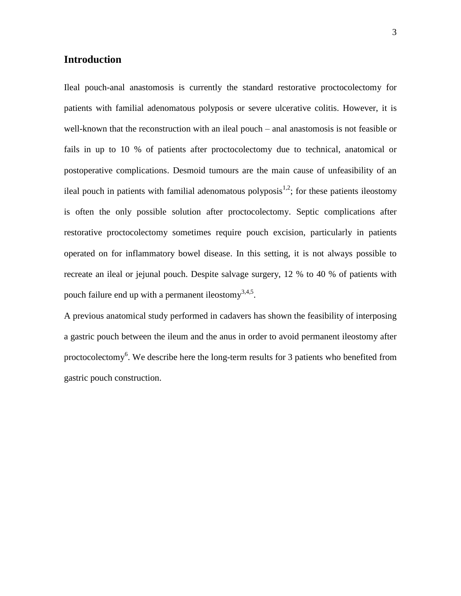#### **Introduction**

Ileal pouch-anal anastomosis is currently the standard restorative proctocolectomy for patients with familial adenomatous polyposis or severe ulcerative colitis. However, it is well-known that the reconstruction with an ileal pouch – anal anastomosis is not feasible or fails in up to 10 % of patients after proctocolectomy due to technical, anatomical or postoperative complications. Desmoid tumours are the main cause of unfeasibility of an ileal pouch in patients with familial adenomatous polyposis<sup>1,2</sup>; for these patients ileostomy is often the only possible solution after proctocolectomy. Septic complications after restorative proctocolectomy sometimes require pouch excision, particularly in patients operated on for inflammatory bowel disease. In this setting, it is not always possible to recreate an ileal or jejunal pouch. Despite salvage surgery, 12 % to 40 % of patients with pouch failure end up with a permanent ileostomy $^{3,4,5}$ .

A previous anatomical study performed in cadavers has shown the feasibility of interposing a gastric pouch between the ileum and the anus in order to avoid permanent ileostomy after proctocolectomy<sup>6</sup>. We describe here the long-term results for 3 patients who benefited from gastric pouch construction.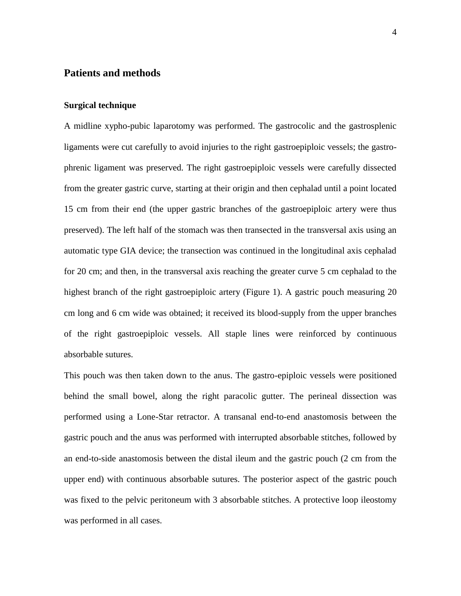#### **Patients and methods**

#### **Surgical technique**

A midline xypho-pubic laparotomy was performed. The gastrocolic and the gastrosplenic ligaments were cut carefully to avoid injuries to the right gastroepiploic vessels; the gastrophrenic ligament was preserved. The right gastroepiploic vessels were carefully dissected from the greater gastric curve, starting at their origin and then cephalad until a point located 15 cm from their end (the upper gastric branches of the gastroepiploic artery were thus preserved). The left half of the stomach was then transected in the transversal axis using an automatic type GIA device; the transection was continued in the longitudinal axis cephalad for 20 cm; and then, in the transversal axis reaching the greater curve 5 cm cephalad to the highest branch of the right gastroepiploic artery (Figure 1). A gastric pouch measuring 20 cm long and 6 cm wide was obtained; it received its blood-supply from the upper branches of the right gastroepiploic vessels. All staple lines were reinforced by continuous absorbable sutures.

This pouch was then taken down to the anus. The gastro-epiploic vessels were positioned behind the small bowel, along the right paracolic gutter. The perineal dissection was performed using a Lone-Star retractor. A transanal end-to-end anastomosis between the gastric pouch and the anus was performed with interrupted absorbable stitches, followed by an end-to-side anastomosis between the distal ileum and the gastric pouch (2 cm from the upper end) with continuous absorbable sutures. The posterior aspect of the gastric pouch was fixed to the pelvic peritoneum with 3 absorbable stitches. A protective loop ileostomy was performed in all cases.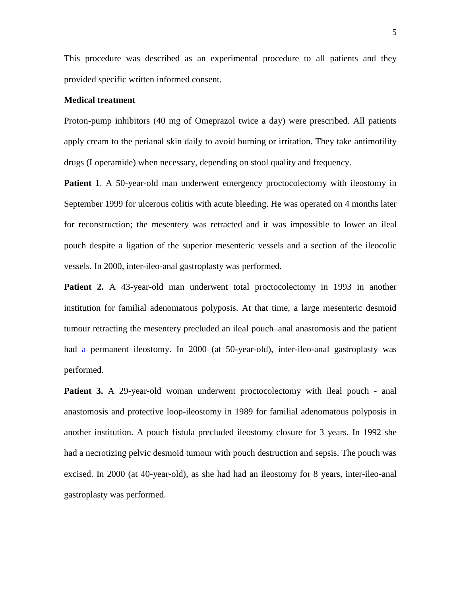This procedure was described as an experimental procedure to all patients and they provided specific written informed consent.

#### <span id="page-5-0"></span>**Medical treatment**

<span id="page-5-1"></span>Proton-pump inhibitors (40 mg of Omeprazol twice a day) were prescribed. All patients apply cream to the perianal skin daily to avoid burning or irritation. They take antimotility drugs (Loperamide) when necessary, depending on stool quality and frequency.

**Patient 1.** A 50-year-old man underwent emergency proctocolectomy with ileostomy in September 1999 for ulcerous colitis with acute bleeding. He was operated on 4 months later for reconstruction; the mesentery was retracted and it was impossible to lower an ileal pouch despite a ligation of the superior mesenteric vessels and a section of the ileocolic vessels. In 2000, inter-ileo-anal gastroplasty was performed.

**Patient 2.** A 43-year-old man underwent total proctocolectomy in 1993 in another institution for familial adenomatous polyposis. At that time, a large mesenteric desmoid tumour retracting the mesentery precluded an ileal pouch–anal anastomosis and the patient had a permanent ileostomy. In 2000 (at 50-year-old), inter-ileo-anal gastroplasty was performed.

**Patient 3.** A 29-year-old woman underwent proctocolectomy with ileal pouch - anal anastomosis and protective loop-ileostomy in 1989 for familial adenomatous polyposis in another institution. A pouch fistula precluded ileostomy closure for 3 years. In 1992 she had a necrotizing pelvic desmoid tumour with pouch destruction and sepsis. The pouch was excised. In 2000 (at 40-year-old), as she had had an ileostomy for 8 years, inter-ileo-anal gastroplasty was performed.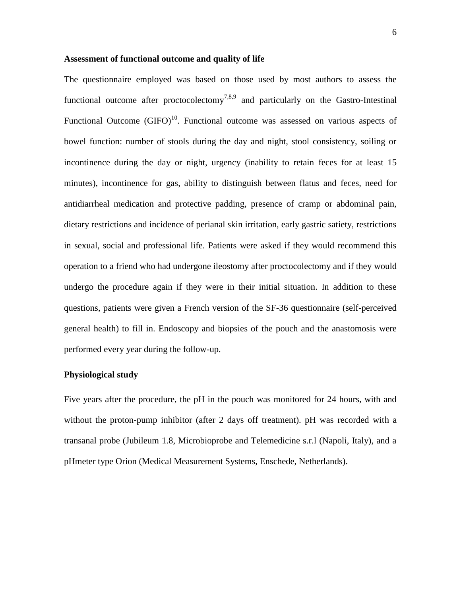#### **Assessment of functional outcome and quality of life**

The questionnaire employed was based on those used by most authors to assess the functional outcome after proctocolectomy<sup>7,8,9</sup> and particularly on the Gastro-Intestinal Functional Outcome  $(GIFO)^{10}$ . Functional outcome was assessed on various aspects of bowel function: number of stools during the day and night, stool consistency, soiling or incontinence during the day or night, urgency (inability to retain feces for at least 15 minutes), incontinence for gas, ability to distinguish between flatus and feces, need for antidiarrheal medication and protective padding, presence of cramp or abdominal pain, dietary restrictions and incidence of perianal skin irritation, early gastric satiety, restrictions in sexual, social and professional life. Patients were asked if they would recommend this operation to a friend who had undergone ileostomy after proctocolectomy and if they would undergo the procedure again if they were in their initial situation. In addition to these questions, patients were given a French version of the SF-36 questionnaire (self-perceived general health) to fill in. Endoscopy and biopsies of the pouch and the anastomosis were performed every year during the follow-up.

#### **Physiological study**

Five years after the procedure, the pH in the pouch was monitored for 24 hours, with and without the proton-pump inhibitor (after 2 days off treatment). pH was recorded with a transanal probe (Jubileum 1.8, Microbioprobe and Telemedicine s.r.l (Napoli, Italy), and a pHmeter type Orion (Medical Measurement Systems, Enschede, Netherlands).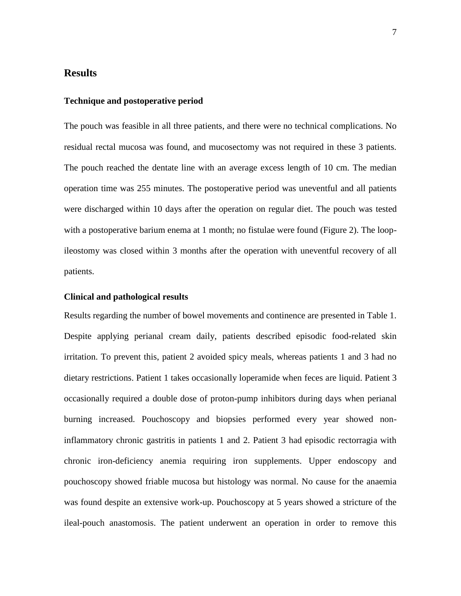#### **Results**

#### **Technique and postoperative period**

The pouch was feasible in all three patients, and there were no technical complications. No residual rectal mucosa was found, and mucosectomy was not required in these 3 patients. The pouch reached the dentate line with an average excess length of 10 cm. The median operation time was 255 minutes. The postoperative period was uneventful and all patients were discharged within 10 days after the operation on regular diet. The pouch was tested with a postoperative barium enema at 1 month; no fistulae were found (Figure 2). The loopileostomy was closed within 3 months after the operation with uneventful recovery of all patients.

#### **Clinical and pathological results**

Results regarding the number of bowel movements and continence are presented in Table 1. Despite applying perianal cream daily, patients described episodic food-related skin irritation. To prevent this, patient 2 avoided spicy meals, whereas patients 1 and 3 had no dietary restrictions. Patient 1 takes occasionally loperamide when feces are liquid. Patient 3 occasionally required a double dose of proton-pump inhibitors during days when perianal burning increased. Pouchoscopy and biopsies performed every year showed noninflammatory chronic gastritis in patients 1 and 2. Patient 3 had episodic rectorragia with chronic iron-deficiency anemia requiring iron supplements. Upper endoscopy and pouchoscopy showed friable mucosa but histology was normal. No cause for the anaemia was found despite an extensive work-up. Pouchoscopy at 5 years showed a stricture of the ileal-pouch anastomosis. The patient underwent an operation in order to remove this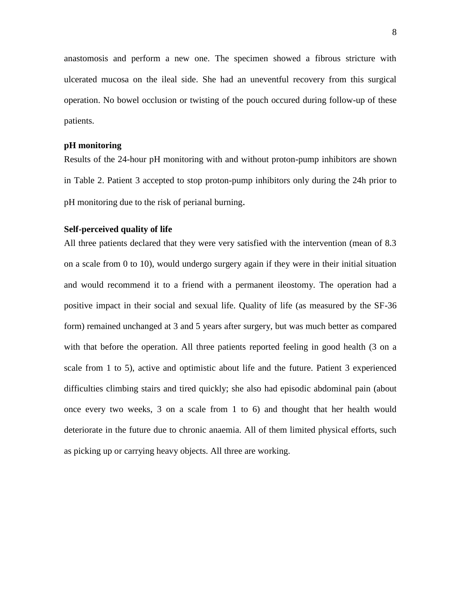anastomosis and perform a new one. The specimen showed a fibrous stricture with ulcerated mucosa on the ileal side. She had an uneventful recovery from this surgical operation. No bowel occlusion or twisting of the pouch occured during follow-up of these patients.

#### **pH monitoring**

Results of the 24-hour pH monitoring with and without proton-pump inhibitors are shown in Table 2. Patient 3 accepted to stop proton-pump inhibitors only during the 24h prior to pH monitoring due to the risk of perianal burning.

#### **Self-perceived quality of life**

All three patients declared that they were very satisfied with the intervention (mean of 8.3 on a scale from 0 to 10), would undergo surgery again if they were in their initial situation and would recommend it to a friend with a permanent ileostomy. The operation had a positive impact in their social and sexual life. Quality of life (as measured by the SF-36 form) remained unchanged at 3 and 5 years after surgery, but was much better as compared with that before the operation. All three patients reported feeling in good health (3 on a scale from 1 to 5), active and optimistic about life and the future. Patient 3 experienced difficulties climbing stairs and tired quickly; she also had episodic abdominal pain (about once every two weeks, 3 on a scale from 1 to 6) and thought that her health would deteriorate in the future due to chronic anaemia. All of them limited physical efforts, such as picking up or carrying heavy objects. All three are working.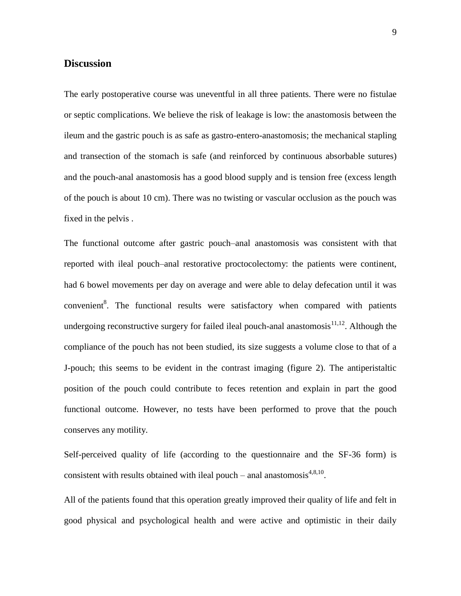#### **Discussion**

The early postoperative course was uneventful in all three patients. There were no fistulae or septic complications. We believe the risk of leakage is low: the anastomosis between the ileum and the gastric pouch is as safe as gastro-entero-anastomosis; the mechanical stapling and transection of the stomach is safe (and reinforced by continuous absorbable sutures) and the pouch-anal anastomosis has a good blood supply and is tension free (excess length of the pouch is about 10 cm). There was no twisting or vascular occlusion as the pouch was fixed in the pelvis .

The functional outcome after gastric pouch–anal anastomosis was consistent with that reported with ileal pouch–anal restorative proctocolectomy: the patients were continent, had 6 bowel movements per day on average and were able to delay defecation until it was convenien[t](#page-5-0)<sup>8</sup>. The functional results were satisfactory when compared with patients undergoing reconstructive surgery for failed ileal pouch-anal anastomosis $11,12$ . Although the compliance of the pouch has not been studied, its size suggests a volume close to that of a J-pouch; this seems to be evident in the contrast imaging (figure 2). The antiperistaltic position of the pouch could contribute to feces retention and explain in part the good functional outcome. However, no tests have been performed to prove that the pouch conserves any motility.

Self-perceived quality of life (according to the questionnaire and the SF-36 form) is consistent with results obtained with ileal pouch – anal anastomosis $4,8,10$  $4,8,10$  $4,8,10$ .

All of the patients found that this operation greatly improved their quality of life and felt in good physical and psychological health and were active and optimistic in their daily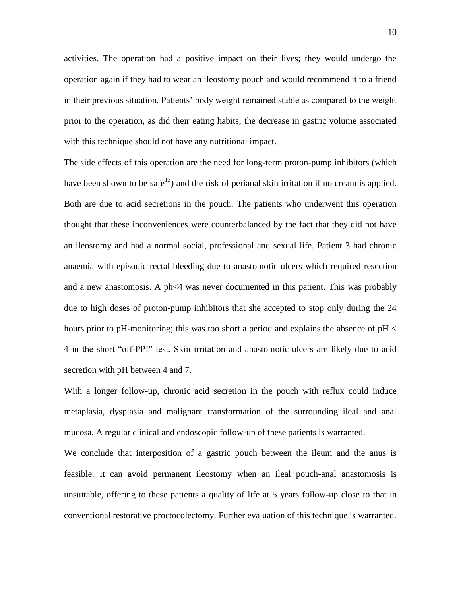activities. The operation had a positive impact on their lives; they would undergo the operation again if they had to wear an ileostomy pouch and would recommend it to a friend in their previous situation. Patients' body weight remained stable as compared to the weight prior to the operation, as did their eating habits; the decrease in gastric volume associated with this technique should not have any nutritional impact.

The side effects of this operation are the need for long-term proton-pump inhibitors (which have been shown to be safe<sup>13</sup>) and the risk of perianal skin irritation if no cream is applied. Both are due to acid secretions in the pouch. The patients who underwent this operation thought that these inconveniences were counterbalanced by the fact that they did not have an ileostomy and had a normal social, professional and sexual life. Patient 3 had chronic anaemia with episodic rectal bleeding due to anastomotic ulcers which required resection and a new anastomosis. A ph<4 was never documented in this patient. This was probably due to high doses of proton-pump inhibitors that she accepted to stop only during the 24 hours prior to pH-monitoring; this was too short a period and explains the absence of pH < 4 in the short "off-PPI" test. Skin irritation and anastomotic ulcers are likely due to acid secretion with pH between 4 and 7.

With a longer follow-up, chronic acid secretion in the pouch with reflux could induce metaplasia, dysplasia and malignant transformation of the surrounding ileal and anal mucosa. A regular clinical and endoscopic follow-up of these patients is warranted.

We conclude that interposition of a gastric pouch between the ileum and the anus is feasible. It can avoid permanent ileostomy when an ileal pouch-anal anastomosis is unsuitable, offering to these patients a quality of life at 5 years follow-up close to that in conventional restorative proctocolectomy. Further evaluation of this technique is warranted.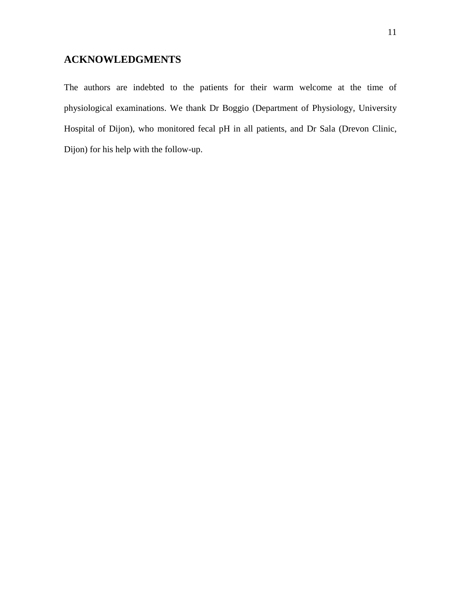### **ACKNOWLEDGMENTS**

The authors are indebted to the patients for their warm welcome at the time of physiological examinations. We thank Dr Boggio (Department of Physiology, University Hospital of Dijon), who monitored fecal pH in all patients, and Dr Sala (Drevon Clinic, Dijon) for his help with the follow-up.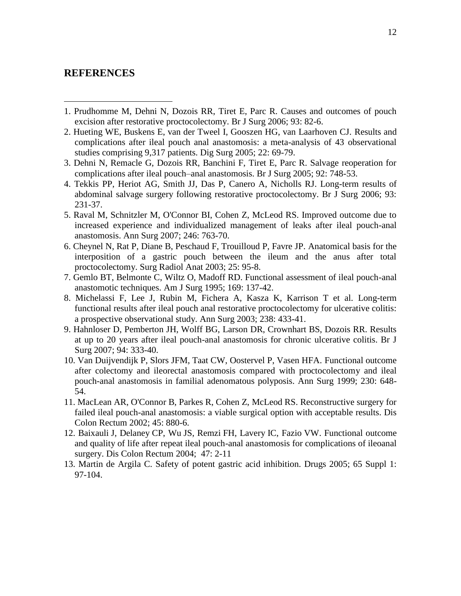#### **REFERENCES**

-

- 1. Prudhomme M, Dehni N, Dozois RR, Tiret E, Parc R. Causes and outcomes of pouch excision after restorative proctocolectomy. Br J Surg 2006; 93: 82-6.
- 2. Hueting WE, Buskens E, van der Tweel I, Gooszen HG, van Laarhoven CJ. Results and complications after ileal pouch anal anastomosis: a meta-analysis of 43 observational studies comprising 9,317 patients. Dig Surg 2005; 22: 69-79.
- 3. Dehni N, Remacle G, Dozois RR, Banchini F, Tiret E, Parc R. Salvage reoperation for complications after ileal pouch–anal anastomosis. Br J Surg 2005; 92: 748-53.
- 4. Tekkis PP, Heriot AG, Smith JJ, Das P, Canero A, Nicholls RJ. Long-term results of abdominal salvage surgery following restorative proctocolectomy. Br J Surg 2006; 93: 231-37.
- 5. Raval M, Schnitzler M, O'Connor BI, Cohen Z, McLeod RS. Improved outcome due to increased experience and individualized management of leaks after ileal pouch-anal anastomosis. Ann Surg 2007; 246: 763-70.
- 6. Cheynel N, Rat P, Diane B, Peschaud F, Trouilloud P, Favre JP. Anatomical basis for the interposition of a gastric pouch between the ileum and the anus after total proctocolectomy. Surg Radiol Anat 2003; 25: 95-8.
- 7. Gemlo BT, Belmonte C, Wiltz O, Madoff RD. Functional assessment of ileal pouch-anal anastomotic techniques. Am J Surg 1995; 169: 137-42.
- 8. Michelassi F, Lee J, Rubin M, Fichera A, Kasza K, Karrison T et al. Long-term functional results after ileal pouch anal restorative proctocolectomy for ulcerative colitis: a prospective observational study. Ann Surg 2003; 238: 433-41.
- 9. Hahnloser D, Pemberton JH, Wolff BG, Larson DR, Crownhart BS, Dozois RR. Results at up to 20 years after ileal pouch-anal anastomosis for chronic ulcerative colitis. Br J Surg 2007; 94: 333-40.
- 10. Van Duijvendijk P, Slors JFM, Taat CW, Oostervel P, Vasen HFA. Functional outcome after colectomy and ileorectal anastomosis compared with proctocolectomy and ileal pouch-anal anastomosis in familial adenomatous polyposis. Ann Surg 1999; 230: 648- 54.
- 11. MacLean AR, O'Connor B, Parkes R, Cohen Z, McLeod RS. Reconstructive surgery for failed ileal pouch-anal anastomosis: a viable surgical option with acceptable results. Dis Colon Rectum 2002; 45: 880-6.
- 12. Baixauli J, Delaney CP, Wu JS, Remzi FH, Lavery IC, Fazio VW. Functional outcome and quality of life after repeat ileal pouch-anal anastomosis for complications of ileoanal surgery. Dis Colon Rectum 2004; 47: 2-11
- 13. Martin de Argila C. Safety of potent gastric acid inhibition. Drugs 2005; 65 Suppl 1: 97-104.